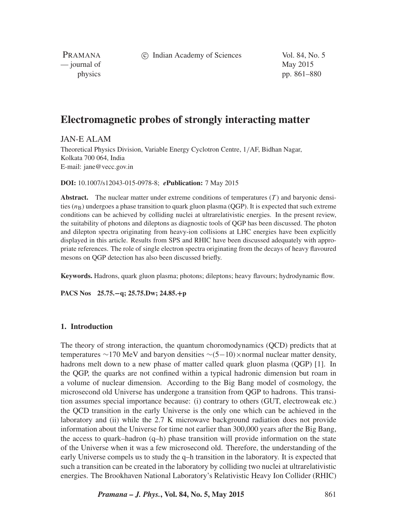c Indian Academy of Sciences Vol. 84, No. 5

PRAMANA — journal of May 2015

physics pp. 861–880

# **Electromagnetic probes of strongly interacting matter**

JAN-E ALAM

Theoretical Physics Division, Variable Energy Cyclotron Centre, 1*/*AF, Bidhan Nagar, Kolkata 700 064, India E-mail: jane@vecc.gov.in

**DOI:** 10.1007/s12043-015-0978-8; *e***Publication:** 7 May 2015

**Abstract.** The nuclear matter under extreme conditions of temperatures (*T* ) and baryonic densities  $(n<sub>B</sub>)$  undergoes a phase transition to quark gluon plasma (OGP). It is expected that such extreme conditions can be achieved by colliding nuclei at ultrarelativistic energies. In the present review, the suitability of photons and dileptons as diagnostic tools of QGP has been discussed. The photon and dilepton spectra originating from heavy-ion collisions at LHC energies have been explicitly displayed in this article. Results from SPS and RHIC have been discussed adequately with appropriate references. The role of single electron spectra originating from the decays of heavy flavoured mesons on QGP detection has also been discussed briefly.

**Keywords.** Hadrons, quark gluon plasma; photons; dileptons; heavy flavours; hydrodynamic flow.

**PACS Nos 25.75.−q; 25.75.Dw; 24.85.+p**

# **1. Introduction**

The theory of strong interaction, the quantum choromodynamics (QCD) predicts that at temperatures ∼170 MeV and baryon densities ∼*(*5−10*)*×normal nuclear matter density, hadrons melt down to a new phase of matter called quark gluon plasma (QGP) [1]. In the QGP, the quarks are not confined within a typical hadronic dimension but roam in a volume of nuclear dimension. According to the Big Bang model of cosmology, the microsecond old Universe has undergone a transition from QGP to hadrons. This transition assumes special importance because: (i) contrary to others (GUT, electroweak etc.) the QCD transition in the early Universe is the only one which can be achieved in the laboratory and (ii) while the 2.7 K microwave background radiation does not provide information about the Universe for time not earlier than 300,000 years after the Big Bang, the access to quark–hadron  $(q-h)$  phase transition will provide information on the state of the Universe when it was a few microsecond old. Therefore, the understanding of the early Universe compels us to study the q–h transition in the laboratory. It is expected that such a transition can be created in the laboratory by colliding two nuclei at ultrarelativistic energies. The Brookhaven National Laboratory's Relativistic Heavy Ion Collider (RHIC)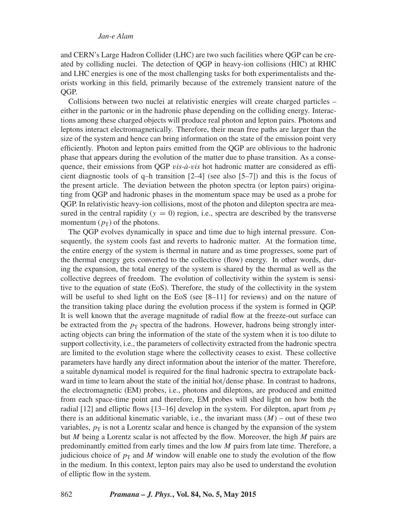and CERN's Large Hadron Collider (LHC) are two such facilities where QGP can be created by colliding nuclei. The detection of QGP in heavy-ion collisions (HIC) at RHIC and LHC energies is one of the most challenging tasks for both experimentalists and theorists working in this field, primarily because of the extremely transient nature of the OGP.

Collisions between two nuclei at relativistic energies will create charged particles – either in the partonic or in the hadronic phase depending on the colliding energy. Interactions among these charged objects will produce real photon and lepton pairs. Photons and leptons interact electromagnetically. Therefore, their mean free paths are larger than the size of the system and hence can bring information on the state of the emission point very efficiently. Photon and lepton pairs emitted from the QGP are oblivious to the hadronic phase that appears during the evolution of the matter due to phase transition. As a consequence, their emissions from QGP *vis-à-vis* hot hadronic matter are considered as efficient diagnostic tools of q-h transition  $[2-4]$  (see also  $[5-7]$ ) and this is the focus of the present article. The deviation between the photon spectra (or lepton pairs) originating from QGP and hadronic phases in the momentum space may be used as a probe for QGP. In relativistic heavy-ion collisions, most of the photon and dilepton spectra are measured in the central rapidity  $(y = 0)$  region, i.e., spectra are described by the transverse momentum  $(p_T)$  of the photons.

The QGP evolves dynamically in space and time due to high internal pressure. Consequently, the system cools fast and reverts to hadronic matter. At the formation time, the entire energy of the system is thermal in nature and as time progresses, some part of the thermal energy gets converted to the collective (flow) energy. In other words, during the expansion, the total energy of the system is shared by the thermal as well as the collective degrees of freedom. The evolution of collectivity within the system is sensitive to the equation of state (EoS). Therefore, the study of the collectivity in the system will be useful to shed light on the EoS (see [8–11] for reviews) and on the nature of the transition taking place during the evolution process if the system is formed in QGP. It is well known that the average magnitude of radial flow at the freeze-out surface can be extracted from the  $p<sub>T</sub>$  spectra of the hadrons. However, hadrons being strongly interacting objects can bring the information of the state of the system when it is too dilute to support collectivity, i.e., the parameters of collectivity extracted from the hadronic spectra are limited to the evolution stage where the collectivity ceases to exist. These collective parameters have hardly any direct information about the interior of the matter. Therefore, a suitable dynamical model is required for the final hadronic spectra to extrapolate backward in time to learn about the state of the initial hot*/*dense phase. In contrast to hadrons, the electromagnetic (EM) probes, i.e., photons and dileptons, are produced and emitted from each space-time point and therefore, EM probes will shed light on how both the radial [12] and elliptic flows [13–16] develop in the system. For dilepton, apart from  $p_T$ there is an additional kinematic variable, i.e., the invariant mass  $(M)$  – out of these two variables,  $p<sub>T</sub>$  is not a Lorentz scalar and hence is changed by the expansion of the system but *M* being a Lorentz scalar is not affected by the flow. Moreover, the high *M* pairs are predominantly emitted from early times and the low *M* pairs from late time. Therefore, a judicious choice of  $p<sub>T</sub>$  and *M* window will enable one to study the evolution of the flow in the medium. In this context, lepton pairs may also be used to understand the evolution of elliptic flow in the system.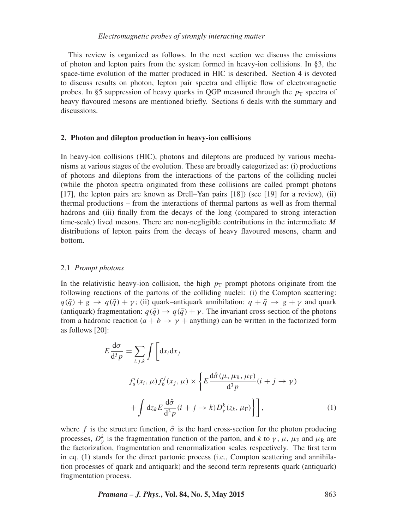# *Electromagnetic probes of strongly interacting matter*

This review is organized as follows. In the next section we discuss the emissions of photon and lepton pairs from the system formed in heavy-ion collisions. In §3, the space-time evolution of the matter produced in HIC is described. Section 4 is devoted to discuss results on photon, lepton pair spectra and elliptic flow of electromagnetic probes. In §5 suppression of heavy quarks in QGP measured through the  $p<sub>T</sub>$  spectra of heavy flavoured mesons are mentioned briefly. Sections 6 deals with the summary and discussions.

## **2. Photon and dilepton production in heavy-ion collisions**

In heavy-ion collisions (HIC), photons and dileptons are produced by various mechanisms at various stages of the evolution. These are broadly categorized as: (i) productions of photons and dileptons from the interactions of the partons of the colliding nuclei (while the photon spectra originated from these collisions are called prompt photons [17], the lepton pairs are known as Drell–Yan pairs [18]) (see [19] for a review), (ii) thermal productions – from the interactions of thermal partons as well as from thermal hadrons and (iii) finally from the decays of the long (compared to strong interaction time-scale) lived mesons. There are non-negligible contributions in the intermediate *M* distributions of lepton pairs from the decays of heavy flavoured mesons, charm and bottom.

#### 2.1 *Prompt photons*

In the relativistic heavy-ion collision, the high  $p<sub>T</sub>$  prompt photons originate from the following reactions of the partons of the colliding nuclei: (i) the Compton scattering:  $q(\bar{q}) + g \rightarrow q(\bar{q}) + \gamma$ ; (ii) quark–antiquark annihilation:  $q + \bar{q} \rightarrow g + \gamma$  and quark (antiquark) fragmentation:  $q(\bar{q}) \rightarrow q(\bar{q}) + \gamma$ . The invariant cross-section of the photons from a hadronic reaction ( $a + b \rightarrow \gamma +$  anything) can be written in the factorized form as follows [20]:

$$
E \frac{d\sigma}{d^3 p} = \sum_{i,j,k} \int \left[ dx_i dx_j \right]
$$
  

$$
f_a^i(x_i, \mu) f_b^j(x_j, \mu) \times \left\{ E \frac{d\hat{\sigma}(\mu, \mu_R, \mu_F)}{d^3 p} (i + j \to \gamma) + \int dz_k E \frac{d\hat{\sigma}}{d^3 p} (i + j \to k) D_{\gamma}^k(z_k, \mu_F) \right\} \right],
$$
 (1)

where *f* is the structure function,  $\hat{\sigma}$  is the hard cross-section for the photon producing processes,  $D^k_\gamma$  is the fragmentation function of the parton, and *k* to  $\gamma$ ,  $\mu$ ,  $\mu_F$  and  $\mu_R$  are the factorization, fragmentation and renormalization scales respectively. The first term in eq. (1) stands for the direct partonic process (i.e., Compton scattering and annihilation processes of quark and antiquark) and the second term represents quark (antiquark) fragmentation process.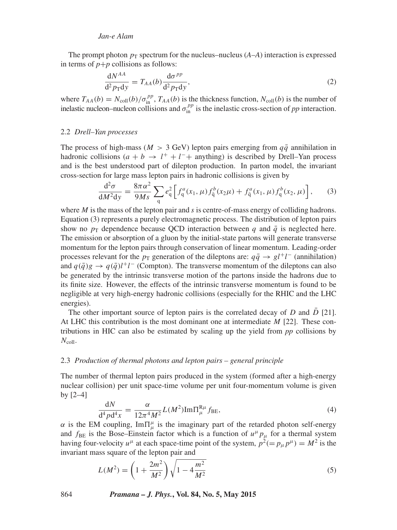The prompt photon  $p_T$  spectrum for the nucleus–nucleus  $(A-A)$  interaction is expressed in terms of  $p+p$  collisions as follows:

$$
\frac{\mathrm{d}N^{AA}}{\mathrm{d}^2 p_{\mathrm{T}} \mathrm{d}y} = T_{AA}(b) \frac{\mathrm{d}\sigma^{pp}}{\mathrm{d}^2 p_{\mathrm{T}} \mathrm{d}y},\tag{2}
$$

where  $T_{AA}(b) = N_{\text{coll}}(b)/\sigma_{\text{in}}^{pp}$ ,  $T_{AA}(b)$  is the thickness function,  $N_{\text{coll}}(b)$  is the number of inelastic nucleon–nucleon collisions and  $\sigma_{\text{in}}^{pp}$  is the inelastic cross-section of *pp* interaction.

## 2.2 *Drell–Yan processes*

The process of high-mass ( $M > 3$  GeV) lepton pairs emerging from  $q\bar{q}$  annihilation in hadronic collisions  $(a + b \rightarrow l^+ + l^-+$  anything) is described by Drell–Yan process and is the best understood part of dilepton production. In parton model, the invariant cross-section for large mass lepton pairs in hadronic collisions is given by

$$
\frac{d^2\sigma}{dM^2dy} = \frac{8\pi\alpha^2}{9Ms} \sum_{q} e_q^2 \left[ f_q^a(x_1,\mu) f_{\bar{q}}^b(x_2\mu) + f_{\bar{q}}^a(x_1,\mu) f_q^b(x_2,\mu) \right],
$$
 (3)

where *M* is the mass of the lepton pair and *s* is centre-of-mass energy of colliding hadrons. Equation (3) represents a purely electromagnetic process. The distribution of lepton pairs show no  $p_T$  dependence because QCD interaction between *q* and  $\bar{q}$  is neglected here. The emission or absorption of a gluon by the initial-state partons will generate transverse momentum for the lepton pairs through conservation of linear momentum. Leading-order processes relevant for the  $p_T$  generation of the dileptons are:  $q\bar{q} \rightarrow gl^+l^-$  (annihilation) and  $q(\bar{q})g \to q(\bar{q})l^+l^-$  (Compton). The transverse momentum of the dileptons can also be generated by the intrinsic transverse motion of the partons inside the hadrons due to its finite size. However, the effects of the intrinsic transverse momentum is found to be negligible at very high-energy hadronic collisions (especially for the RHIC and the LHC energies).

The other important source of lepton pairs is the correlated decay of *D* and *D* [21]. At LHC this contribution is the most dominant one at intermediate *M* [22]. These contributions in HIC can also be estimated by scaling up the yield from *pp* collisions by  $N_{\text{coll}}$ .

# 2.3 *Production of thermal photons and lepton pairs – general principle*

The number of thermal lepton pairs produced in the system (formed after a high-energy nuclear collision) per unit space-time volume per unit four-momentum volume is given by [2–4]

$$
\frac{dN}{d^4 p d^4 x} = \frac{\alpha}{12\pi^4 M^2} L(M^2) Im \Pi_{\mu}^{R\mu} f_{BE},
$$
\n(4)

*α* is the EM coupling,  $Im \Pi^{\mu}_{\mu}$  is the imaginary part of the retarded photon self-energy and  $f_{BE}$  is the Bose–Einstein factor which is a function of  $u^{\mu}p_{\mu}$  for a thermal system having four-velocity  $u^{\mu}$  at each space-time point of the system,  $p^{2}(=p_{\mu}p^{\mu})=M^{2}$  is the invariant mass square of the lepton pair and

$$
L(M^2) = \left(1 + \frac{2m^2}{M^2}\right)\sqrt{1 - 4\frac{m^2}{M^2}}
$$
\n(5)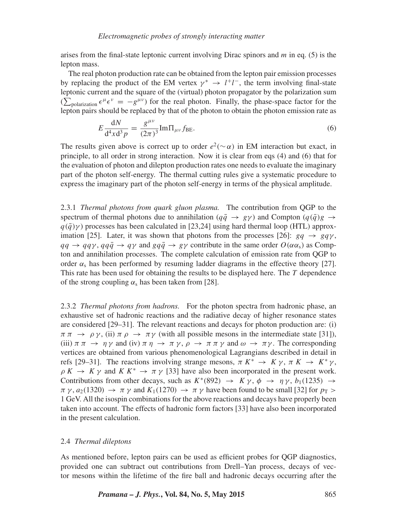arises from the final-state leptonic current involving Dirac spinors and *m* in eq. (5) is the lepton mass.

The real photon production rate can be obtained from the lepton pair emission processes by replacing the product of the EM vertex  $\gamma^* \to l^+l^-$ , the term involving final-state leptonic current and the square of the (virtual) photon propagator by the polarization sum  $(\sum_{\text{polarization}} \epsilon^{\mu} \epsilon^{\nu} = -g^{\mu \nu})$  for the real photon. Finally, the phase-space factor for the lepton pairs should be replaced by that of the photon to obtain the photon emission rate as

$$
E\frac{dN}{d^4x d^3p} = \frac{g^{\mu\nu}}{(2\pi)^3} Im\Pi_{\mu\nu} f_{\text{BE}}.
$$
 (6)

The results given above is correct up to order  $e^2(\sim \alpha)$  in EM interaction but exact, in principle, to all order in strong interaction. Now it is clear from eqs (4) and (6) that for the evaluation of photon and dilepton production rates one needs to evaluate the imaginary part of the photon self-energy. The thermal cutting rules give a systematic procedure to express the imaginary part of the photon self-energy in terms of the physical amplitude.

2.3.1 *Thermal photons from quark gluon plasma.* The contribution from QGP to the spectrum of thermal photons due to annihilation ( $q\bar{q} \rightarrow g\gamma$ ) and Compton ( $q(\bar{q})g \rightarrow$  $q(\bar{q})\gamma$ ) processes has been calculated in [23,24] using hard thermal loop (HTL) approximation [25]. Later, it was shown that photons from the processes [26]:  $gq \rightarrow gq\gamma$ ,  $qq\rightarrow qq\gamma$ ,  $qq\bar{q}\rightarrow q\gamma$  and  $gq\bar{q}\rightarrow gy$  contribute in the same order  $O(\alpha\alpha_s)$  as Compton and annihilation processes. The complete calculation of emission rate from QGP to order  $\alpha_s$  has been performed by resuming ladder diagrams in the effective theory [27]. This rate has been used for obtaining the results to be displayed here. The *T* dependence of the strong coupling  $\alpha_s$  has been taken from [28].

2.3.2 *Thermal photons from hadrons.* For the photon spectra from hadronic phase, an exhaustive set of hadronic reactions and the radiative decay of higher resonance states are considered [29–31]. The relevant reactions and decays for photon production are: (i)  $\pi \pi \to \rho \gamma$ , (ii)  $\pi \rho \to \pi \gamma$  (with all possible mesons in the intermediate state [31]), (iii)  $\pi \pi \to \eta \gamma$  and (iv)  $\pi \eta \to \pi \gamma$ ,  $\rho \to \pi \pi \gamma$  and  $\omega \to \pi \gamma$ . The corresponding vertices are obtained from various phenomenological Lagrangians described in detail in refs [29–31]. The reactions involving strange mesons,  $\pi K^* \to K \gamma$ ,  $\pi K \to K^* \gamma$ ,  $\rho K \to K \gamma$  and  $K K^* \to \pi \gamma$  [33] have also been incorporated in the present work. Contributions from other decays, such as  $K^*(892) \rightarrow K \gamma$ ,  $\phi \rightarrow \eta \gamma$ ,  $b_1(1235) \rightarrow$  $\pi \gamma$ ,  $a_2(1320) \rightarrow \pi \gamma$  and  $K_1(1270) \rightarrow \pi \gamma$  have been found to be small [32] for  $p_T >$ 1 GeV. All the isospin combinations for the above reactions and decays have properly been taken into account. The effects of hadronic form factors [33] have also been incorporated in the present calculation.

## 2.4 *Thermal dileptons*

As mentioned before, lepton pairs can be used as efficient probes for QGP diagnostics, provided one can subtract out contributions from Drell–Yan process, decays of vector mesons within the lifetime of the fire ball and hadronic decays occurring after the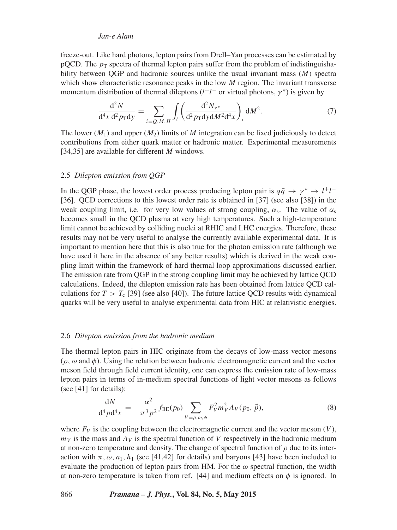freeze-out. Like hard photons, lepton pairs from Drell–Yan processes can be estimated by pQCD. The  $p<sub>T</sub>$  spectra of thermal lepton pairs suffer from the problem of indistinguishability between QGP and hadronic sources unlike the usual invariant mass (*M*) spectra which show characteristic resonance peaks in the low *M* region. The invariant transverse momentum distribution of thermal dileptons  $(l^+l^-$  or virtual photons,  $\gamma^*$ ) is given by

$$
\frac{d^2 N}{d^4 x d^2 p_T dy} = \sum_{i=Q,M,H} \int_i \left( \frac{d^2 N_{\gamma^*}}{d^2 p_T dy dM^2 d^4 x} \right)_i dM^2.
$$
 (7)

The lower  $(M_1)$  and upper  $(M_2)$  limits of M integration can be fixed judiciously to detect contributions from either quark matter or hadronic matter. Experimental measurements [34,35] are available for different *M* windows.

## 2.5 *Dilepton emission from QGP*

In the QGP phase, the lowest order process producing lepton pair is  $q\bar{q} \rightarrow \gamma^* \rightarrow l^+l^-$ [36]. QCD corrections to this lowest order rate is obtained in [37] (see also [38]) in the weak coupling limit, i.e. for very low values of strong coupling,  $\alpha_s$ . The value of  $\alpha_s$ becomes small in the QCD plasma at very high temperatures. Such a high-temperature limit cannot be achieved by colliding nuclei at RHIC and LHC energies. Therefore, these results may not be very useful to analyse the currently available experimental data. It is important to mention here that this is also true for the photon emission rate (although we have used it here in the absence of any better results) which is derived in the weak coupling limit within the framework of hard thermal loop approximations discussed earlier. The emission rate from QGP in the strong coupling limit may be achieved by lattice QCD calculations. Indeed, the dilepton emission rate has been obtained from lattice QCD calculations for  $T > T_c$  [39] (see also [40]). The future lattice QCD results with dynamical quarks will be very useful to analyse experimental data from HIC at relativistic energies.

#### 2.6 *Dilepton emission from the hadronic medium*

The thermal lepton pairs in HIC originate from the decays of low-mass vector mesons (*ρ*, *ω* and *φ*). Using the relation between hadronic electromagnetic current and the vector meson field through field current identity, one can express the emission rate of low-mass lepton pairs in terms of in-medium spectral functions of light vector mesons as follows (see [41] for details):

$$
\frac{dN}{d^4 p d^4 x} = -\frac{\alpha^2}{\pi^3 p^2} f_{\text{BE}}(p_0) \sum_{V=p,\omega,\phi} F_V^2 m_V^2 A_V(p_0, \vec{p}),\tag{8}
$$

where  $F_V$  is the coupling between the electromagnetic current and the vector meson  $(V)$ ,  $m<sub>V</sub>$  is the mass and  $A<sub>V</sub>$  is the spectral function of *V* respectively in the hadronic medium at non-zero temperature and density. The change of spectral function of  $\rho$  due to its interaction with  $\pi$ ,  $\omega$ ,  $a_1$ ,  $h_1$  (see [41,42] for details) and baryons [43] have been included to evaluate the production of lepton pairs from HM. For the  $\omega$  spectral function, the width at non-zero temperature is taken from ref. [44] and medium effects on  $\phi$  is ignored. In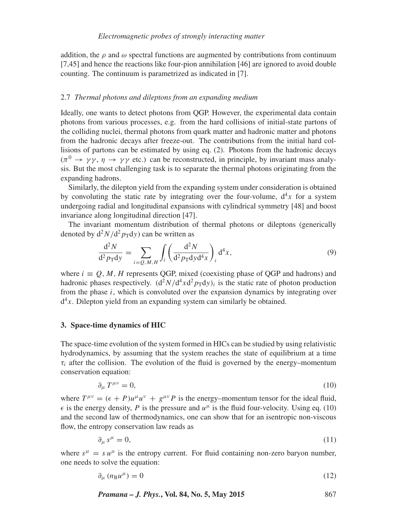addition, the  $\rho$  and  $\omega$  spectral functions are augmented by contributions from continuum [7,45] and hence the reactions like four-pion annihilation [46] are ignored to avoid double counting. The continuum is parametrized as indicated in [7].

# 2.7 *Thermal photons and dileptons from an expanding medium*

Ideally, one wants to detect photons from QGP. However, the experimental data contain photons from various processes, e.g. from the hard collisions of initial-state partons of the colliding nuclei, thermal photons from quark matter and hadronic matter and photons from the hadronic decays after freeze-out. The contributions from the initial hard collisions of partons can be estimated by using eq. (2). Photons from the hadronic decays  $(\pi^0 \to \gamma \gamma, \eta \to \gamma \gamma$  etc.) can be reconstructed, in principle, by invariant mass analysis. But the most challenging task is to separate the thermal photons originating from the expanding hadrons.

Similarly, the dilepton yield from the expanding system under consideration is obtained by convoluting the static rate by integrating over the four-volume,  $d<sup>4</sup>x$  for a system undergoing radial and longitudinal expansions with cylindrical symmetry [48] and boost invariance along longitudinal direction [47].

The invariant momentum distribution of thermal photons or dileptons (generically denoted by  $d^2N/d^2 p_T dy$  can be written as

$$
\frac{\mathrm{d}^2 N}{\mathrm{d}^2 p_{\mathrm{T}} \mathrm{d}y} = \sum_{i=Q,M,H} \int_i \left( \frac{\mathrm{d}^2 N}{\mathrm{d}^2 p_{\mathrm{T}} \mathrm{d}y \mathrm{d}^4 x} \right)_i \mathrm{d}^4 x,\tag{9}
$$

where  $i \equiv Q, M, H$  represents QGP, mixed (coexisting phase of QGP and hadrons) and hadronic phases respectively.  $(d^2N/d^4xd^2p_Tdy)_i$  is the static rate of photon production from the phase *i*, which is convoluted over the expansion dynamics by integrating over  $d^4x$ . Dilepton yield from an expanding system can similarly be obtained.

## **3. Space-time dynamics of HIC**

The space-time evolution of the system formed in HICs can be studied by using relativistic hydrodynamics, by assuming that the system reaches the state of equilibrium at a time  $\tau_i$  after the collision. The evolution of the fluid is governed by the energy–momentum conservation equation:

$$
\partial_{\mu} T^{\mu\nu} = 0,\tag{10}
$$

where  $T^{\mu\nu} = (\epsilon + P)u^{\mu}u^{\nu} + g^{\mu\nu}P$  is the energy–momentum tensor for the ideal fluid,  $\epsilon$  is the energy density, *P* is the pressure and  $u^{\mu}$  is the fluid four-velocity. Using eq. (10) and the second law of thermodynamics, one can show that for an isentropic non-viscous flow, the entropy conservation law reads as

$$
\partial_{\mu} s^{\mu} = 0,\tag{11}
$$

where  $s^{\mu} = s u^{\mu}$  is the entropy current. For fluid containing non-zero baryon number, one needs to solve the equation:

$$
\partial_{\mu} (n_{\rm B} u^{\mu}) = 0 \tag{12}
$$

*Pramana – J. Phys.***, Vol. 84, No. 5, May 2015** 867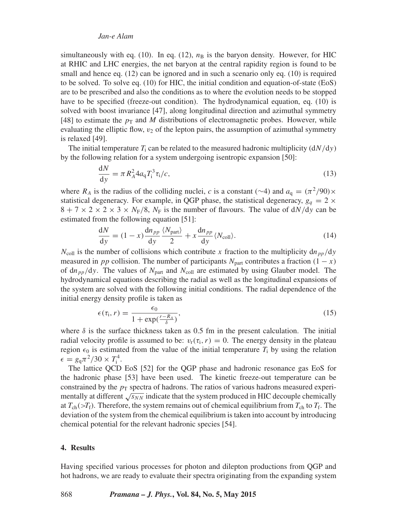simultaneously with eq. (10). In eq. (12),  $n<sub>B</sub>$  is the baryon density. However, for HIC at RHIC and LHC energies, the net baryon at the central rapidity region is found to be small and hence eq. (12) can be ignored and in such a scenario only eq. (10) is required to be solved. To solve eq. (10) for HIC, the initial condition and equation-of-state (EoS) are to be prescribed and also the conditions as to where the evolution needs to be stopped have to be specified (freeze-out condition). The hydrodynamical equation, eq. (10) is solved with boost invariance [47], along longitudinal direction and azimuthal symmetry [48] to estimate the  $p<sub>T</sub>$  and *M* distributions of electromagnetic probes. However, while evaluating the elliptic flow,  $v_2$  of the lepton pairs, the assumption of azimuthal symmetry is relaxed [49].

The initial temperature  $T_i$  can be related to the measured hadronic multiplicity  $(dN/dy)$ by the following relation for a system undergoing isentropic expansion [50]:

$$
\frac{dN}{dy} = \pi R_A^2 4a_q T_i^3 \tau_i / c,
$$
\n(13)

where  $R_A$  is the radius of the colliding nuclei, *c* is a constant (∼4) and  $a_q = (\pi^2/90) \times$ statistical degeneracy. For example, in QGP phase, the statistical degeneracy,  $g_q = 2 \times$  $8 + 7 \times 2 \times 2 \times 3 \times N_F/8$ ,  $N_F$  is the number of flavours. The value of  $dN/dy$  can be estimated from the following equation [51]:

$$
\frac{dN}{dy} = (1 - x) \frac{dn_{pp}}{dy} \frac{\langle N_{\text{part}} \rangle}{2} + x \frac{dn_{pp}}{dy} \langle N_{\text{coll}} \rangle. \tag{14}
$$

 $N_{\text{coll}}$  is the number of collisions which contribute *x* fraction to the multiplicity dn<sub>pp</sub>/dy measured in *pp* collision. The number of participants  $N_{part}$  contributes a fraction  $(1 - x)$ of  $dn_{pp}/dy$ . The values of  $N_{part}$  and  $N_{coll}$  are estimated by using Glauber model. The hydrodynamical equations describing the radial as well as the longitudinal expansions of the system are solved with the following initial conditions. The radial dependence of the initial energy density profile is taken as

$$
\epsilon(\tau_{\mathbf{i}}, r) = \frac{\epsilon_0}{1 + \exp(\frac{r - R_A}{\delta})},\tag{15}
$$

where  $\delta$  is the surface thickness taken as 0.5 fm in the present calculation. The initial radial velocity profile is assumed to be:  $v_r(\tau_i, r) = 0$ . The energy density in the plateau region  $\epsilon_0$  is estimated from the value of the initial temperature  $T_i$  by using the relation  $\epsilon = g_q \pi^2 / 30 \times T_i^4$ .

The lattice QCD EoS [52] for the QGP phase and hadronic resonance gas EoS for the hadronic phase [53] have been used. The kinetic freeze-out temperature can be constrained by the  $p<sub>T</sub>$  spectra of hadrons. The ratios of various hadrons measured experimentally at different  $\sqrt{s_{NN}}$  indicate that the system produced in HIC decouple chemically at  $T_{ch}$ ( $>T_f$ ). Therefore, the system remains out of chemical equilibrium from  $T_{ch}$  to  $T_f$ . The deviation of the system from the chemical equilibrium is taken into account by introducing chemical potential for the relevant hadronic species [54].

### **4. Results**

Having specified various processes for photon and dilepton productions from QGP and hot hadrons, we are ready to evaluate their spectra originating from the expanding system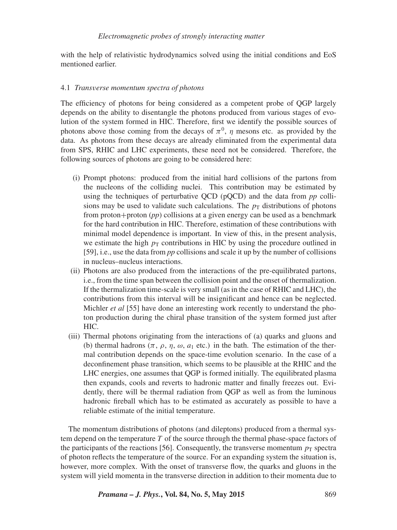with the help of relativistic hydrodynamics solved using the initial conditions and EoS mentioned earlier.

## 4.1 *Transverse momentum spectra of photons*

The efficiency of photons for being considered as a competent probe of QGP largely depends on the ability to disentangle the photons produced from various stages of evolution of the system formed in HIC. Therefore, first we identify the possible sources of photons above those coming from the decays of  $\pi^0$ , *η* mesons etc. as provided by the data. As photons from these decays are already eliminated from the experimental data from SPS, RHIC and LHC experiments, these need not be considered. Therefore, the following sources of photons are going to be considered here:

- (i) Prompt photons: produced from the initial hard collisions of the partons from the nucleons of the colliding nuclei. This contribution may be estimated by using the techniques of perturbative QCD (pQCD) and the data from *pp* collisions may be used to validate such calculations. The  $p<sub>T</sub>$  distributions of photons from proton+proton (*pp*) collisions at a given energy can be used as a benchmark for the hard contribution in HIC. Therefore, estimation of these contributions with minimal model dependence is important. In view of this, in the present analysis, we estimate the high  $p_T$  contributions in HIC by using the procedure outlined in [59], i.e., use the data from *pp* collisions and scale it up by the number of collisions in nucleus–nucleus interactions.
- (ii) Photons are also produced from the interactions of the pre-equilibrated partons, i.e., from the time span between the collision point and the onset of thermalization. If the thermalization time-scale is very small (as in the case of RHIC and LHC), the contributions from this interval will be insignificant and hence can be neglected. Michler *et al* [55] have done an interesting work recently to understand the photon production during the chiral phase transition of the system formed just after HIC.
- (iii) Thermal photons originating from the interactions of (a) quarks and gluons and (b) thermal hadrons  $(\pi, \rho, \eta, \omega, a_1 \text{ etc.})$  in the bath. The estimation of the thermal contribution depends on the space-time evolution scenario. In the case of a deconfinement phase transition, which seems to be plausible at the RHIC and the LHC energies, one assumes that QGP is formed initially. The equilibrated plasma then expands, cools and reverts to hadronic matter and finally freezes out. Evidently, there will be thermal radiation from QGP as well as from the luminous hadronic fireball which has to be estimated as accurately as possible to have a reliable estimate of the initial temperature.

The momentum distributions of photons (and dileptons) produced from a thermal system depend on the temperature *T* of the source through the thermal phase-space factors of the participants of the reactions [56]. Consequently, the transverse momentum  $p<sub>T</sub>$  spectra of photon reflects the temperature of the source. For an expanding system the situation is, however, more complex. With the onset of transverse flow, the quarks and gluons in the system will yield momenta in the transverse direction in addition to their momenta due to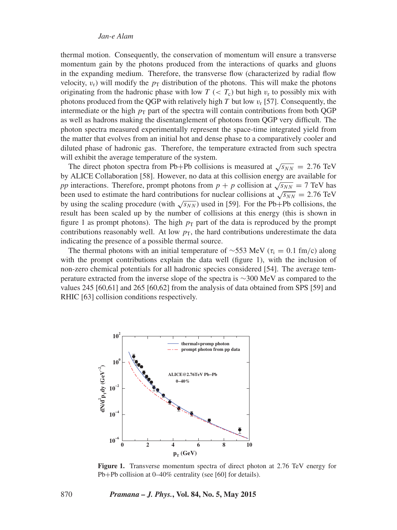thermal motion. Consequently, the conservation of momentum will ensure a transverse momentum gain by the photons produced from the interactions of quarks and gluons in the expanding medium. Therefore, the transverse flow (characterized by radial flow velocity,  $v_r$ ) will modify the  $p_T$  distribution of the photons. This will make the photons originating from the hadronic phase with low  $T \ll T_c$ ) but high  $v_r$  to possibly mix with photons produced from the QGP with relatively high *T* but low  $v_r$  [57]. Consequently, the intermediate or the high  $p<sub>T</sub>$  part of the spectra will contain contributions from both OGP as well as hadrons making the disentanglement of photons from QGP very difficult. The photon spectra measured experimentally represent the space-time integrated yield from the matter that evolves from an initial hot and dense phase to a comparatively cooler and diluted phase of hadronic gas. Therefore, the temperature extracted from such spectra will exhibit the average temperature of the system.

The direct photon spectra from Pb+Pb collisions is measured at  $\sqrt{s_{NN}} = 2.76$  TeV by ALICE Collaboration [58]. However, no data at this collision energy are available for *pp* interactions. Therefore, prompt photons from  $p + p$  collision at  $\sqrt{s_{NN}} = 7$  TeV has been used to estimate the hard contributions for nuclear collisions at  $\sqrt{s_{NN}} = 2.76$  TeV by using the scaling procedure (with  $\sqrt{s_{NN}}$ ) used in [59]. For the Pb+Pb collisions, the result has been scaled up by the number of collisions at this energy (this is shown in figure 1 as prompt photons). The high  $p<sub>T</sub>$  part of the data is reproduced by the prompt contributions reasonably well. At low  $p<sub>T</sub>$ , the hard contributions underestimate the data indicating the presence of a possible thermal source.

The thermal photons with an initial temperature of ~553 MeV ( $\tau_i = 0.1$  fm/c) along with the prompt contributions explain the data well (figure 1), with the inclusion of non-zero chemical potentials for all hadronic species considered [54]. The average temperature extracted from the inverse slope of the spectra is ∼300 MeV as compared to the values 245 [60,61] and 265 [60,62] from the analysis of data obtained from SPS [59] and RHIC [63] collision conditions respectively.



**Figure 1.** Transverse momentum spectra of direct photon at 2.76 TeV energy for Pb+Pb collision at 0–40% centrality (see [60] for details).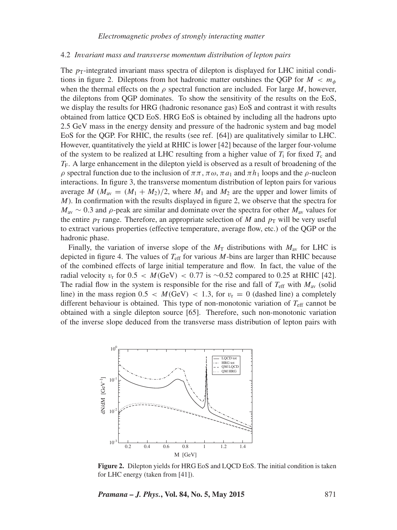#### 4.2 *Invariant mass and transverse momentum distribution of lepton pairs*

The  $p_T$ -integrated invariant mass spectra of dilepton is displayed for LHC initial conditions in figure 2. Dileptons from hot hadronic matter outshines the QGP for  $M < m_{\phi}$ when the thermal effects on the  $\rho$  spectral function are included. For large *M*, however, the dileptons from QGP dominates. To show the sensitivity of the results on the EoS, we display the results for HRG (hadronic resonance gas) EoS and contrast it with results obtained from lattice QCD EoS. HRG EoS is obtained by including all the hadrons upto 2.5 GeV mass in the energy density and pressure of the hadronic system and bag model EoS for the QGP. For RHIC, the results (see ref. [64]) are qualitatively similar to LHC. However, quantitatively the yield at RHIC is lower [42] because of the larger four-volume of the system to be realized at LHC resulting from a higher value of  $T_i$  for fixed  $T_c$  and *T*F. A large enhancement in the dilepton yield is observed as a result of broadening of the *ρ* spectral function due to the inclusion of  $\pi \pi$ ,  $\pi \omega$ ,  $\pi a_1$  and  $\pi h_1$  loops and the *ρ*-nucleon interactions. In figure 3, the transverse momentum distribution of lepton pairs for various average *M* ( $M_{av} = (M_1 + M_2)/2$ , where  $M_1$  and  $M_2$  are the upper and lower limits of *M*). In confirmation with the results displayed in figure 2, we observe that the spectra for  $M_{av} \sim 0.3$  and  $\rho$ -peak are similar and dominate over the spectra for other  $M_{av}$  values for the entire  $p<sub>T</sub>$  range. Therefore, an appropriate selection of *M* and  $p<sub>T</sub>$  will be very useful to extract various properties (effective temperature, average flow, etc.) of the QGP or the hadronic phase.

Finally, the variation of inverse slope of the  $M<sub>T</sub>$  distributions with  $M<sub>av</sub>$  for LHC is depicted in figure 4. The values of  $T_{\text{eff}}$  for various *M*-bins are larger than RHIC because of the combined effects of large initial temperature and flow. In fact, the value of the radial velocity *v*<sup>r</sup> for 0*.*5 *< M(*GeV*) <* 0*.*77 is ∼0.52 compared to 0.25 at RHIC [42]. The radial flow in the system is responsible for the rise and fall of  $T_{\text{eff}}$  with  $M_{\text{av}}$  (solid line) in the mass region  $0.5 < M(GeV) < 1.3$ , for  $v_r = 0$  (dashed line) a completely different behaviour is obtained. This type of non-monotonic variation of  $T_{\text{eff}}$  cannot be obtained with a single dilepton source [65]. Therefore, such non-monotonic variation of the inverse slope deduced from the transverse mass distribution of lepton pairs with



**Figure 2.** Dilepton yields for HRG EoS and LQCD EoS. The initial condition is taken for LHC energy (taken from [41]).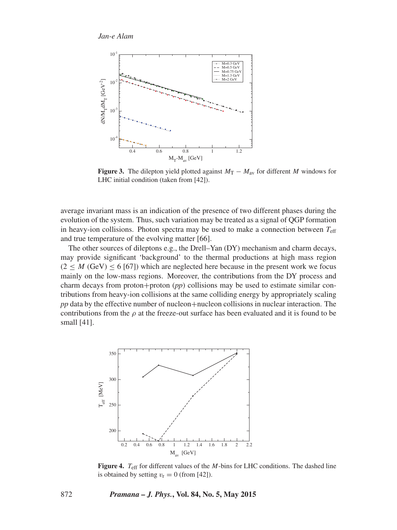

**Figure 3.** The dilepton yield plotted against  $M_T - M_{av}$  for different *M* windows for LHC initial condition (taken from [42]).

average invariant mass is an indication of the presence of two different phases during the evolution of the system. Thus, such variation may be treated as a signal of QGP formation in heavy-ion collisions. Photon spectra may be used to make a connection between  $T_{\text{eff}}$ and true temperature of the evolving matter [66].

The other sources of dileptons e.g., the Drell–Yan (DY) mechanism and charm decays, may provide significant 'background' to the thermal productions at high mass region  $(2 \leq M (GeV) \leq 6$  [67]) which are neglected here because in the present work we focus mainly on the low-mass regions. Moreover, the contributions from the DY process and charm decays from proton+proton (*pp*) collisions may be used to estimate similar contributions from heavy-ion collisions at the same colliding energy by appropriately scaling *pp* data by the effective number of nucleon+nucleon collisions in nuclear interaction. The contributions from the  $\rho$  at the freeze-out surface has been evaluated and it is found to be small [41].



**Figure 4.** *T*eff for different values of the *M*-bins for LHC conditions. The dashed line is obtained by setting  $v_r = 0$  (from [42]).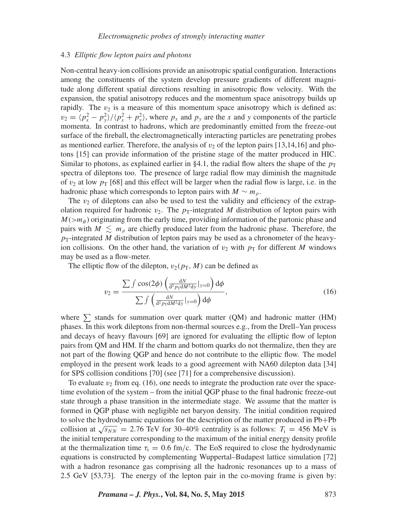## 4.3 *Elliptic flow lepton pairs and photons*

Non-central heavy-ion collisions provide an anisotropic spatial configuration. Interactions among the constituents of the system develop pressure gradients of different magnitude along different spatial directions resulting in anisotropic flow velocity. With the expansion, the spatial anisotropy reduces and the momentum space anisotropy builds up rapidly. The  $v_2$  is a measure of this momentum space anisotropy which is defined as:  $v_2 = (p_x^2 - p_y^2)/\langle p_x^2 + p_y^2 \rangle$ , where  $p_x$  and  $p_y$  are the *x* and *y* components of the particle momenta. In contrast to hadrons, which are predominantly emitted from the freeze-out surface of the fireball, the electromagnetically interacting particles are penetrating probes as mentioned earlier. Therefore, the analysis of  $v<sub>2</sub>$  of the lepton pairs [13,14,16] and photons [15] can provide information of the pristine stage of the matter produced in HIC. Similar to photons, as explained earlier in §4.1, the radial flow alters the shape of the  $p_T$ spectra of dileptons too. The presence of large radial flow may diminish the magnitude of  $v_2$  at low  $p_T$  [68] and this effect will be larger when the radial flow is large, i.e. in the hadronic phase which corresponds to lepton pairs with  $M \sim m_p$ .

The  $v_2$  of dileptons can also be used to test the validity and efficiency of the extrapolation required for hadronic  $v_2$ . The  $p_T$ -integrated M distribution of lepton pairs with  $M(\geq m_{\phi})$  originating from the early time, providing information of the partonic phase and pairs with  $M \leq m_{\rho}$  are chiefly produced later from the hadronic phase. Therefore, the  $p_T$ -integrated *M* distribution of lepton pairs may be used as a chronometer of the heavyion collisions. On the other hand, the variation of  $v_2$  with  $p_T$  for different *M* windows may be used as a flow-meter.

The elliptic flow of the dilepton,  $v_2(p_T, M)$  can be defined as

$$
v_2 = \frac{\sum \int \cos(2\phi) \left( \frac{dN}{d^2 p_T dM^2 dy} \Big|_{y=0} \right) d\phi}{\sum \int \left( \frac{dN}{d^2 p_T dM^2 dy} \Big|_{y=0} \right) d\phi},\tag{16}
$$

where  $\sum$  stands for summation over quark matter (QM) and hadronic matter (HM) phases. In this work dileptons from non-thermal sources e.g., from the Drell–Yan process and decays of heavy flavours [69] are ignored for evaluating the elliptic flow of lepton pairs from QM and HM. If the charm and bottom quarks do not thermalize, then they are not part of the flowing QGP and hence do not contribute to the elliptic flow. The model employed in the present work leads to a good agreement with NA60 dilepton data [34] for SPS collision conditions [70] (see [71] for a comprehensive discussion).

To evaluate  $v_2$  from eq. (16), one needs to integrate the production rate over the spacetime evolution of the system – from the initial QGP phase to the final hadronic freeze-out state through a phase transition in the intermediate stage. We assume that the matter is formed in QGP phase with negligible net baryon density. The initial condition required to solve the hydrodynamic equations for the description of the matter produced in Pb+Pb collision at  $\sqrt{s_{NN}}$  = 2.76 TeV for 30–40% centrality is as follows:  $T_i$  = 456 MeV is the initial temperature corresponding to the maximum of the initial energy density profile at the thermalization time  $\tau_i = 0.6$  fm/c. The EoS required to close the hydrodynamic equations is constructed by complementing Wuppertal–Budapest lattice simulation [72] with a hadron resonance gas comprising all the hadronic resonances up to a mass of 2.5 GeV [53,73]. The energy of the lepton pair in the co-moving frame is given by: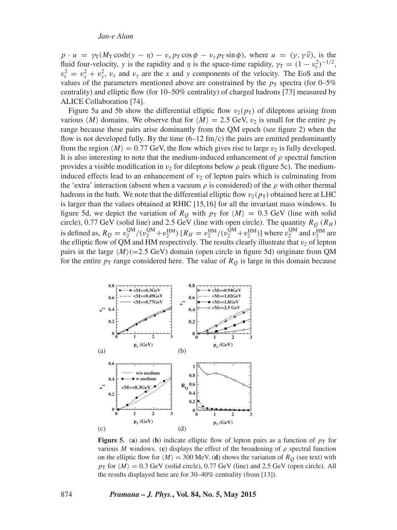$p \cdot u = \gamma_T (M_T \cosh(\gamma - \eta) - v_x p_T \cos \phi - v_y p_T \sin \phi)$ , where  $u = (\gamma, \gamma \vec{v})$ , is the fluid four-velocity, *y* is the rapidity and *η* is the space-time rapidity,  $\gamma_T = (1 - v_r^2)^{-1/2}$ ,  $v_r^2 = v_x^2 + v_y^2$ ,  $v_x$  and  $v_y$  are the *x* and *y* components of the velocity. The EoS and the values of the parameters mentioned above are constrained by the  $p_T$  spectra (for 0–5%) centrality) and elliptic flow (for 10–50% centrality) of charged hadrons [73] measured by ALICE Collaboration [74].

Figure 5a and 5b show the differential elliptic flow  $v_2(p_T)$  of dileptons arising from various  $\langle M \rangle$  domains. We observe that for  $\langle M \rangle = 2.5$  GeV,  $v_2$  is small for the entire  $p_T$ range because these pairs arise dominantly from the QM epoch (see figure 2) when the flow is not developed fully. By the time (6–12 fm*/*c) the pairs are emitted predominantly from the region  $\langle M \rangle = 0.77$  GeV, the flow which gives rise to large  $v_2$  is fully developed. It is also interesting to note that the medium-induced enhancement of  $\rho$  spectral function provides a visible modification in  $v_2$  for dileptons below  $\rho$  peak (figure 5c). The mediuminduced effects lead to an enhancement of  $v<sub>2</sub>$  of lepton pairs which is culminating from the 'extra' interaction (absent when a vacuum  $\rho$  is considered) of the  $\rho$  with other thermal hadrons in the bath. We note that the differential elliptic flow  $v_2(p_T)$  obtained here at LHC is larger than the values obtained at RHIC [15,16] for all the invariant mass windows. In figure 5d, we depict the variation of  $R_Q$  with  $p_T$  for  $\langle M \rangle = 0.3$  GeV (line with solid circle), 0.77 GeV (solid line) and 2.5 GeV (line with open circle). The quantity  $R_Q$  ( $R_H$ ) is defined as,  $R_Q = v_2^{\text{QM}}/(v_2^{\text{QM}} + v_2^{\text{HM}})$  [ $R_H = v_2^{\text{HM}}/(v_2^{\text{QM}} + v_2^{\text{HM}})$ ] where  $v_2^{\text{QM}}$  and  $v_2^{\text{HM}}$  are the elliptic flow of QM and HM respectively. The results clearly illustrate that  $v_2$  of lepton pairs in the large  $\langle M \rangle$  (=2.5 GeV) domain (open circle in figure 5d) originate from QM for the entire  $p_T$  range considered here. The value of  $R_Q$  is large in this domain because



**Figure 5.** (a) and (b) indicate elliptic flow of lepton pairs as a function of  $p<sub>T</sub>$  for various *M* windows. (c) displays the effect of the broadening of  $\rho$  spectral function on the elliptic flow for  $\langle M \rangle = 300$  MeV. (**d**) shows the variation of  $R_Q$  (see text) with  $p_T$  for  $\langle M \rangle = 0.3$  GeV (solid circle), 0.77 GeV (line) and 2.5 GeV (open circle). All the results displayed here are for 30–40% centrality (from [13]).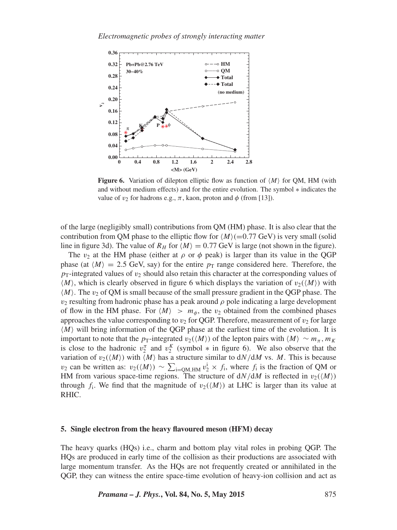

**Figure 6.** Variation of dilepton elliptic flow as function of  $\langle M \rangle$  for QM, HM (with and without medium effects) and for the entire evolution. The symbol ∗ indicates the value of  $v_2$  for hadrons e.g.,  $\pi$ , kaon, proton and  $\phi$  (from [13]).

of the large (negligibly small) contributions from QM (HM) phase. It is also clear that the contribution from QM phase to the elliptic flow for  $\langle M \rangle$ (=0.77 GeV) is very small (solid line in figure 3d). The value of  $R_H$  for  $\langle M \rangle = 0.77$  GeV is large (not shown in the figure).

The  $v_2$  at the HM phase (either at  $\rho$  or  $\phi$  peak) is larger than its value in the QGP phase (at  $\langle M \rangle = 2.5$  GeV, say) for the entire  $p<sub>T</sub>$  range considered here. Therefore, the  $p_T$ -integrated values of  $v_2$  should also retain this character at the corresponding values of  $\langle M \rangle$ , which is clearly observed in figure 6 which displays the variation of  $v_2(\langle M \rangle)$  with  $\langle M \rangle$ . The  $v_2$  of QM is small because of the small pressure gradient in the QGP phase. The  $v_2$  resulting from hadronic phase has a peak around  $\rho$  pole indicating a large development of flow in the HM phase. For  $\langle M \rangle > m_\phi$ , the  $v_2$  obtained from the combined phases approaches the value corresponding to  $v_2$  for QGP. Therefore, measurement of  $v_2$  for large  $\langle M \rangle$  will bring information of the QGP phase at the earliest time of the evolution. It is important to note that the *p*<sub>T</sub>-integrated *v*<sub>2</sub>(*M*) of the lepton pairs with  $\langle M \rangle \sim m_\pi, m_K$ is close to the hadronic  $v_2^{\pi}$  and  $v_2^K$  (symbol  $*$  in figure 6). We also observe that the variation of  $v_2(\langle M \rangle)$  with  $\langle M \rangle$  has a structure similar to  $dN/dM$  vs. M. This is because *v*<sub>2</sub> can be written as: *v*<sub>2</sub>( $\langle M \rangle$ ) ~  $\sum_{i=QM, HM} v_2^i \times f_i$ , where  $f_i$  is the fraction of QM or HM from various space-time regions. The structure of  $dN/dM$  is reflected in  $v_2(\langle M \rangle)$ through  $f_i$ . We find that the magnitude of  $v_2(\langle M \rangle)$  at LHC is larger than its value at RHIC.

## **5. Single electron from the heavy flavoured meson (HFM) decay**

The heavy quarks (HQs) i.e., charm and bottom play vital roles in probing QGP. The HQs are produced in early time of the collision as their productions are associated with large momentum transfer. As the HQs are not frequently created or annihilated in the QGP, they can witness the entire space-time evolution of heavy-ion collision and act as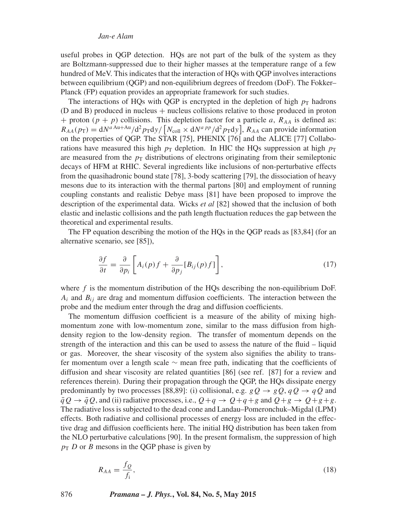useful probes in QGP detection. HQs are not part of the bulk of the system as they are Boltzmann-suppressed due to their higher masses at the temperature range of a few hundred of MeV. This indicates that the interaction of HQs with QGP involves interactions between equilibrium (QGP) and non-equilibrium degrees of freedom (DoF). The Fokker– Planck (FP) equation provides an appropriate framework for such studies.

The interactions of HQs with QGP is encrypted in the depletion of high  $p<sub>T</sub>$  hadrons  $(D \text{ and } B)$  produced in nucleus + nucleus collisions relative to those produced in proton + proton  $(p + p)$  collisions. This depletion factor for a particle *a*,  $R_{AA}$  is defined as:  $R_{AA}(p_T) = dN^{aAu+Au}/d^2 p_T dy / [N_{coll} \times dN^{a\ pp}/d^2 p_T dy], R_{AA}$  can provide information on the properties of QGP. The STAR [75], PHENIX [76] and the ALICE [77] Collaborations have measured this high  $p<sub>T</sub>$  depletion. In HIC the HQs suppression at high  $p<sub>T</sub>$ are measured from the  $p<sub>T</sub>$  distributions of electrons originating from their semileptonic decays of HFM at RHIC. Several ingredients like inclusions of non-perturbative effects from the quasihadronic bound state [78], 3-body scattering [79], the dissociation of heavy mesons due to its interaction with the thermal partons [80] and employment of running coupling constants and realistic Debye mass [81] have been proposed to improve the description of the experimental data. Wicks *et al* [82] showed that the inclusion of both elastic and inelastic collisions and the path length fluctuation reduces the gap between the theoretical and experimental results.

The FP equation describing the motion of the HQs in the QGP reads as [83,84] (for an alternative scenario, see [85]),

$$
\frac{\partial f}{\partial t} = \frac{\partial}{\partial p_i} \left[ A_i(p) f + \frac{\partial}{\partial p_j} [B_{ij}(p) f] \right],\tag{17}
$$

where  $f$  is the momentum distribution of the HQs describing the non-equilibrium DoF.  $A_i$  and  $B_{ij}$  are drag and momentum diffusion coefficients. The interaction between the probe and the medium enter through the drag and diffusion coefficients.

The momentum diffusion coefficient is a measure of the ability of mixing highmomentum zone with low-momentum zone, similar to the mass diffusion from highdensity region to the low-density region. The transfer of momentum depends on the strength of the interaction and this can be used to assess the nature of the fluid – liquid or gas. Moreover, the shear viscosity of the system also signifies the ability to transfer momentum over a length scale ∼ mean free path, indicating that the coefficients of diffusion and shear viscosity are related quantities [86] (see ref. [87] for a review and references therein). During their propagation through the QGP, the HQs dissipate energy predominantly by two processes [88,89]: (i) collisional, e.g.  $gQ \rightarrow gQ$ ,  $qQ \rightarrow qQ$  and  $\overline{q}Q \rightarrow \overline{q}Q$ , and (ii) radiative processes, i.e.,  $Q+q \rightarrow Q+q+g$  and  $Q+g \rightarrow Q+g+g$ . The radiative loss is subjected to the dead cone and Landau–Pomeronchuk–Migdal (LPM) effects. Both radiative and collisional processes of energy loss are included in the effective drag and diffusion coefficients here. The initial HQ distribution has been taken from the NLO perturbative calculations [90]. In the present formalism, the suppression of high  $p_T D$  or *B* mesons in the QGP phase is given by

$$
R_{AA} = \frac{f_Q}{f_i},\tag{18}
$$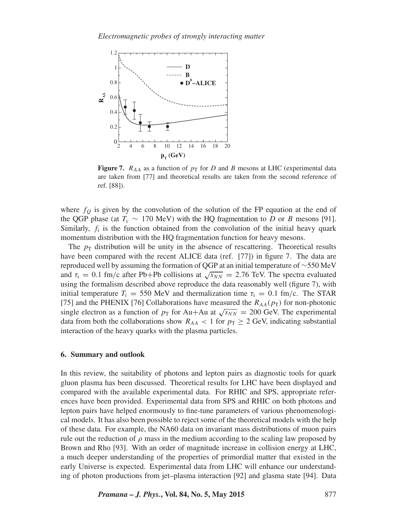

**Figure 7.**  $R_{AA}$  as a function of  $p_T$  for *D* and *B* mesons at LHC (experimental data are taken from [77] and theoretical results are taken from the second reference of ref. [88]).

where  $f<sub>O</sub>$  is given by the convolution of the solution of the FP equation at the end of the QGP phase (at  $T_c \sim 170 \text{ MeV}$ ) with the HQ fragmentation to *D* or *B* mesons [91]. Similarly,  $f_i$  is the function obtained from the convolution of the initial heavy quark momentum distribution with the HQ fragmentation function for heavy mesons.

The  $p<sub>T</sub>$  distribution will be unity in the absence of rescattering. Theoretical results have been compared with the recent ALICE data (ref. [77]) in figure 7. The data are reproduced well by assuming the formation of QGP at an initial temperature of ∼550 MeV and  $\tau_i = 0.1$  fm/c after Pb+Pb collisions at  $\sqrt{s_{NN}} = 2.76$  TeV. The spectra evaluated using the formalism described above reproduce the data reasonably well (figure 7), with initial temperature  $T_i = 550$  MeV and thermalization time  $\tau_i = 0.1$  fm/c. The STAR [75] and the PHENIX [76] Collaborations have measured the  $R_{AA}(p_T)$  for non-photonic single electron as a function of  $p_T$  for Au+Au at  $\sqrt{s_{NN}}$  = 200 GeV. The experimental data from both the collaborations show  $R_{AA} < 1$  for  $p_T \geq 2$  GeV, indicating substantial interaction of the heavy quarks with the plasma particles.

#### **6. Summary and outlook**

In this review, the suitability of photons and lepton pairs as diagnostic tools for quark gluon plasma has been discussed. Theoretical results for LHC have been displayed and compared with the available experimental data. For RHIC and SPS, appropriate references have been provided. Experimental data from SPS and RHIC on both photons and lepton pairs have helped enormously to fine-tune parameters of various phenomenological models. It has also been possible to reject some of the theoretical models with the help of these data. For example, the NA60 data on invariant mass distributions of muon pairs rule out the reduction of  $\rho$  mass in the medium according to the scaling law proposed by Brown and Rho [93]. With an order of magnitude increase in collision energy at LHC, a much deeper understanding of the properties of primordial matter that existed in the early Universe is expected. Experimental data from LHC will enhance our understanding of photon productions from jet–plasma interaction [92] and glasma state [94]. Data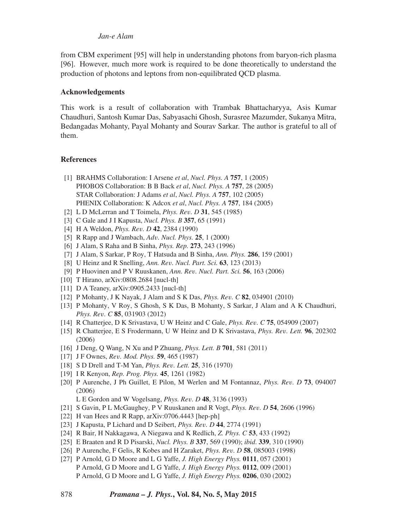from CBM experiment [95] will help in understanding photons from baryon-rich plasma [96]. However, much more work is required to be done theoretically to understand the production of photons and leptons from non-equilibrated QCD plasma.

# **Acknowledgements**

This work is a result of collaboration with Trambak Bhattacharyya, Asis Kumar Chaudhuri, Santosh Kumar Das, Sabyasachi Ghosh, Surasree Mazumder, Sukanya Mitra, Bedangadas Mohanty, Payal Mohanty and Sourav Sarkar. The author is grateful to all of them.

# **References**

- [1] BRAHMS Collaboration: I Arsene *et al*, *Nucl. Phys. A* **757**, 1 (2005) PHOBOS Collaboration: B B Back *et al*, *Nucl. Phys. A* **757**, 28 (2005) STAR Collaboration: J Adams *et al*, *Nucl. Phys. A* **757**, 102 (2005) PHENIX Collaboration: K Adcox *et al*, *Nucl. Phys. A* **757**, 184 (2005)
- [2] L D McLerran and T Toimela, *Phys. Rev. D* **31**, 545 (1985)
- [3] C Gale and J I Kapusta, *Nucl. Phys. B* **357**, 65 (1991)
- [4] H A Weldon, *Phys. Rev. D* **42**, 2384 (1990)
- [5] R Rapp and J Wambach, *Adv. Nucl. Phys.* **25**, 1 (2000)
- [6] J Alam, S Raha and B Sinha, *Phys. Rep.* **273**, 243 (1996)
- [7] J Alam, S Sarkar, P Roy, T Hatsuda and B Sinha, *Ann. Phys.* **286**, 159 (2001)
- [8] U Heinz and R Snelling, *Ann. Rev. Nucl. Part. Sci.* **63**, 123 (2013)
- [9] P Huovinen and P V Ruuskanen, *Ann. Rev. Nucl. Part. Sci.* **56**, 163 (2006)
- [10] T Hirano, arXiv:0808.2684 [nucl-th]
- [11] D A Teaney, arXiv:0905.2433 [nucl-th]
- [12] P Mohanty, J K Nayak, J Alam and S K Das, *Phys. Rev. C* **82**, 034901 (2010)
- [13] P Mohanty, V Roy, S Ghosh, S K Das, B Mohanty, S Sarkar, J Alam and A K Chaudhuri, *Phys. Rev. C* **85**, 031903 (2012)
- [14] R Chatterjee, D K Srivastava, U W Heinz and C Gale, *Phys. Rev. C* **75**, 054909 (2007)
- [15] R Chatterjee, E S Frodermann, U W Heinz and D K Srivastava, *Phys. Rev. Lett.* **96**, 202302 (2006)
- [16] J Deng, Q Wang, N Xu and P Zhuang, *Phys. Lett. B* **701**, 581 (2011)
- [17] J F Ownes, *Rev. Mod. Phys.* **59**, 465 (1987)
- [18] S D Drell and T-M Yan, *Phys. Rev. Lett.* **25**, 316 (1970)
- [19] I R Kenyon, *Rep. Prog. Phys.* **45**, 1261 (1982)
- [20] P Aurenche, J Ph Guillet, E Pilon, M Werlen and M Fontannaz, *Phys. Rev. D* **73**, 094007 (2006)

L E Gordon and W Vogelsang, *Phys. Rev. D* **48**, 3136 (1993)

- [21] S Gavin, P L McGaughey, P V Ruuskanen and R Vogt, *Phys. Rev. D* **54**, 2606 (1996)
- [22] H van Hees and R Rapp, arXiv:0706.4443 [hep-ph]
- [23] J Kapusta, P Lichard and D Seibert, *Phys. Rev. D* **44**, 2774 (1991)
- [24] R Bair, H Nakkagawa, A Niegawa and K Redlich, *Z. Phys. C* **53**, 433 (1992)
- [25] E Braaten and R D Pisarski, *Nucl. Phys. B* **337**, 569 (1990); *ibid*. **339**, 310 (1990)
- [26] P Aurenche, F Gelis, R Kobes and H Zaraket, *Phys. Rev. D* **58**, 085003 (1998)
- [27] P Arnold, G D Moore and L G Yaffe, *J. High Energy Phys.* **0111**, 057 (2001) P Arnold, G D Moore and L G Yaffe, *J. High Energy Phys.* **0112**, 009 (2001) P Arnold, G D Moore and L G Yaffe, *J. High Energy Phys.* **0206**, 030 (2002)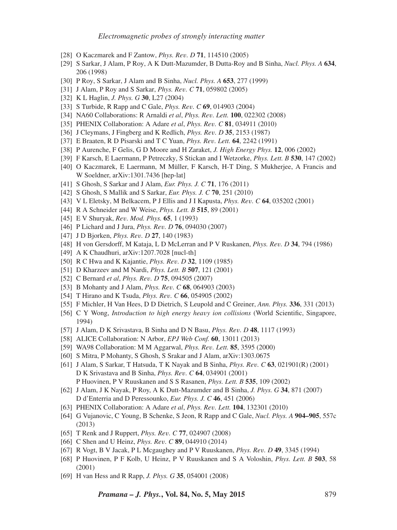- [28] O Kaczmarek and F Zantow, *Phys. Rev. D* **71**, 114510 (2005)
- [29] S Sarkar, J Alam, P Roy, A K Dutt-Mazumder, B Dutta-Roy and B Sinha, *Nucl. Phys. A* **634**, 206 (1998)
- [30] P Roy, S Sarkar, J Alam and B Sinha, *Nucl. Phys. A* **653**, 277 (1999)
- [31] J Alam, P Roy and S Sarkar, *Phys. Rev. C* **71**, 059802 (2005)
- [32] K L Haglin, *J. Phys. G* **30**, L27 (2004)
- [33] S Turbide, R Rapp and C Gale, *Phys. Rev. C* **69**, 014903 (2004)
- [34] NA60 Collaborations: R Arnaldi *et al*, *Phys. Rev. Lett.* **100**, 022302 (2008)
- [35] PHENIX Collaboration: A Adare *et al*, *Phys. Rev. C* **81**, 034911 (2010)
- [36] J Cleymans, J Fingberg and K Redlich, *Phys. Rev. D* **35**, 2153 (1987)
- [37] E Braaten, R D Pisarski and T C Yuan, *Phys. Rev. Lett.* **64**, 2242 (1991)
- [38] P Aurenche, F Gelis, G D Moore and H Zaraket, *J. High Energy Phys.* **12**, 006 (2002)
- [39] F Karsch, E Laermann, P Petreczky, S Stickan and I Wetzorke, *Phys. Lett. B* **530**, 147 (2002)
- [40] O Kaczmarek, E Laermann, M Müller, F Karsch, H-T Ding, S Mukherjee, A Francis and W Soeldner, arXiv:1301.7436 [hep-lat]
- [41] S Ghosh, S Sarkar and J Alam, *Eur. Phys. J. C* **71**, 176 (2011)
- [42] S Ghosh, S Mallik and S Sarkar, *Eur. Phys. J. C* **70**, 251 (2010)
- [43] V L Eletsky, M Belkacem, P J Ellis and J I Kapusta, *Phys. Rev. C* **64**, 035202 (2001)
- [44] R A Schneider and W Weise, *Phys. Lett. B* **515**, 89 (2001)
- [45] E V Shuryak, *Rev. Mod. Phys.* **65**, 1 (1993)
- [46] P Lichard and J Jura, *Phys. Rev. D* **76**, 094030 (2007)
- [47] J D Bjorken, *Phys. Rev. D* **27**, 140 (1983)
- [48] H von Gersdorff, M Kataja, L D McLerran and P V Ruskanen, *Phys. Rev. D* **34**, 794 (1986)
- [49] A K Chaudhuri, arXiv:1207.7028 [nucl-th]
- [50] R C Hwa and K Kajantie, *Phys. Rev. D* **32**, 1109 (1985)
- [51] D Kharzeev and M Nardi, *Phys. Lett. B* **507**, 121 (2001)
- [52] C Bernard *et al*, *Phys. Rev. D* **75**, 094505 (2007)
- [53] B Mohanty and J Alam, *Phys. Rev. C* **68**, 064903 (2003)
- [54] T Hirano and K Tsuda, *Phys. Rev. C* **66**, 054905 (2002)
- [55] F Michler, H Van Hees, D D Dietrich, S Leupold and C Greiner, *Ann. Phys.* **336**, 331 (2013)
- [56] C Y Wong, *Introduction to high energy heavy ion collisions* (World Scientific, Singapore, 1994)
- [57] J Alam, D K Srivastava, B Sinha and D N Basu, *Phys. Rev. D* **48**, 1117 (1993)
- [58] ALICE Collaboration: N Arbor, *EPJ Web Conf.* **60**, 13011 (2013)
- [59] WA98 Collaboration: M M Aggarwal, *Phys. Rev. Lett.* **85**, 3595 (2000)
- [60] S Mitra, P Mohanty, S Ghosh, S Srakar and J Alam, arXiv:1303.0675
- [61] J Alam, S Sarkar, T Hatsuda, T K Nayak and B Sinha, *Phys. Rev. C* **63**, 021901(R) (2001) D K Srivastava and B Sinha, *Phys. Rev. C* **64**, 034901 (2001) P Huovinen, P V Ruuskanen and S S Rasanen, *Phys. Lett. B* **535**, 109 (2002)
- [62] J Alam, J K Nayak, P Roy, A K Dutt-Mazumder and B Sinha, *J. Phys. G* **34**, 871 (2007) D d'Enterria and D Peressounko, *Eur. Phys. J. C* **46**, 451 (2006)
- [63] PHENIX Collaboration: A Adare *et al*, *Phys. Rev. Lett.* **104**, 132301 (2010)
- [64] G Vujanovic, C Young, B Schenke, S Jeon, R Rapp and C Gale, *Nucl. Phys. A* **904–905**, 557c (2013)
- [65] T Renk and J Ruppert, *Phys. Rev. C* **77**, 024907 (2008)
- [66] C Shen and U Heinz, *Phys. Rev. C* **89**, 044910 (2014)
- [67] R Vogt, B V Jacak, P L Mcgaughey and P V Ruuskanen, *Phys. Rev. D* **49**, 3345 (1994)
- [68] P Huovinen, P F Kolb, U Heinz, P V Ruuskanen and S A Voloshin, *Phys. Lett. B* **503**, 58 (2001)
- [69] H van Hess and R Rapp, *J. Phys. G* **35**, 054001 (2008)